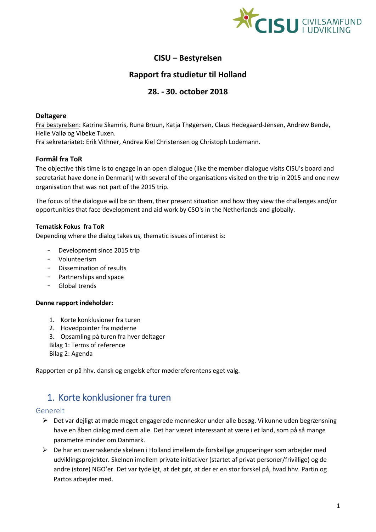

# **CISU – Bestyrelsen**

# **Rapport fra studietur til Holland**

# **28. - 30. october 2018**

### **Deltagere**

Fra bestyrelsen: Katrine Skamris, Runa Bruun, Katja Thøgersen, Claus Hedegaard-Jensen, Andrew Bende, Helle Vallø og Vibeke Tuxen.

Fra sekretariatet: Erik Vithner, Andrea Kiel Christensen og Christoph Lodemann.

## **Formål fra ToR**

The objective this time is to engage in an open dialogue (like the member dialogue visits CISU's board and secretariat have done in Denmark) with several of the organisations visited on the trip in 2015 and one new organisation that was not part of the 2015 trip.

The focus of the dialogue will be on them, their present situation and how they view the challenges and/or opportunities that face development and aid work by CSO's in the Netherlands and globally.

## **Tematisk Fokus fra ToR**

Depending where the dialog takes us, thematic issues of interest is:

- Development since 2015 trip
- Volunteerism
- Dissemination of results
- Partnerships and space
- Global trends

### **Denne rapport indeholder:**

- 1. Korte konklusioner fra turen
- 2. Hovedpointer fra møderne
- 3. Opsamling på turen fra hver deltager
- Bilag 1: Terms of reference Bilag 2: Agenda

Rapporten er på hhv. dansk og engelsk efter mødereferentens eget valg.

# 1. Korte konklusioner fra turen

### Generelt

- ➢ Det var dejligt at møde meget engagerede mennesker under alle besøg. Vi kunne uden begrænsning have en åben dialog med dem alle. Det har været interessant at være i et land, som på så mange parametre minder om Danmark.
- ➢ De har en overraskende skelnen i Holland imellem de forskellige grupperinger som arbejder med udviklingsprojekter. Skelnen imellem private initiativer (startet af privat personer/frivillige) og de andre (store) NGO'er. Det var tydeligt, at det gør, at der er en stor forskel på, hvad hhv. Partin og Partos arbejder med.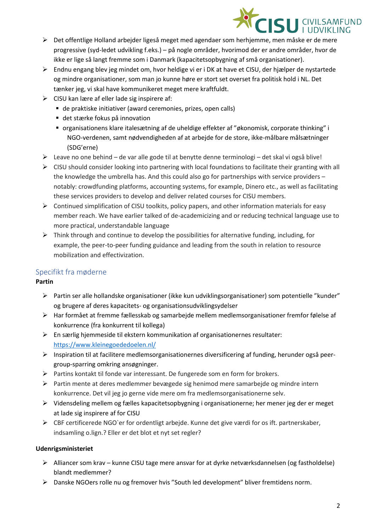

- ➢ Det offentlige Holland arbejder ligeså meget med agendaer som herhjemme, men måske er de mere progressive (syd-ledet udvikling f.eks.) – på nogle områder, hvorimod der er andre områder, hvor de ikke er lige så langt fremme som i Danmark (kapacitetsopbygning af små organisationer).
- ➢ Endnu engang blev jeg mindet om, hvor heldige vi er i DK at have et CISU, der hjælper de nystartede og mindre organisationer, som man jo kunne høre er stort set overset fra politisk hold i NL. Det tænker jeg, vi skal have kommunikeret meget mere kraftfuldt.
- $\triangleright$  CISU kan lære af eller lade sig inspirere af:
	- de praktiske initiativer (award ceremonies, prizes, open calls)
	- det stærke fokus på innovation
	- organisationens klare italesætning af de uheldige effekter af "økonomisk, corporate thinking" i NGO-verdenen, samt nødvendigheden af at arbejde for de store, ikke-målbare målsætninger (SDG'erne)
- $\triangleright$  Leave no one behind de var alle gode til at benytte denne terminologi det skal vi også blive!
- $\triangleright$  CISU should consider looking into partnering with local foundations to facilitate their granting with all the knowledge the umbrella has. And this could also go for partnerships with service providers – notably: crowdfunding platforms, accounting systems, for example, Dinero etc., as well as facilitating these services providers to develop and deliver related courses for CISU members.
- $\triangleright$  Continued simplification of CISU toolkits, policy papers, and other information materials for easy member reach. We have earlier talked of de-academicizing and or reducing technical language use to more practical, understandable language
- $\triangleright$  Think through and continue to develop the possibilities for alternative funding, including, for example, the peer-to-peer funding guidance and leading from the south in relation to resource mobilization and effectivization.

# Specifikt fra møderne

# **Partin**

- ➢ Partin ser alle hollandske organisationer (ikke kun udviklingsorganisationer) som potentielle "kunder" og brugere af deres kapacitets- og organisationsudviklingsydelser
- ➢ Har formået at fremme fællesskab og samarbejde mellem medlemsorganisationer fremfor følelse af konkurrence (fra konkurrent til kollega)
- $\triangleright$  En særlig hjemmeside til ekstern kommunikation af organisationernes resultater: <https://www.kleinegoededoelen.nl/>
- ➢ Inspiration til at facilitere medlemsorganisationernes diversificering af funding, herunder også peergroup-sparring omkring ansøgninger.
- ➢ Partins kontakt til fonde var interessant. De fungerede som en form for brokers.
- $\triangleright$  Partin mente at deres medlemmer bevægede sig henimod mere samarbeide og mindre intern konkurrence. Det vil jeg jo gerne vide mere om fra medlemsorganisationerne selv.
- ➢ Vidensdeling mellem og fælles kapacitetsopbygning i organisationerne; her mener jeg der er meget at lade sig inspirere af for CISU
- ➢ CBF certificerede NGO`er for ordentligt arbejde. Kunne det give værdi for os ift. partnerskaber, indsamling o.lign.? Eller er det blot et nyt set regler?

## **Udenrigsministeriet**

- ➢ Alliancer som krav kunne CISU tage mere ansvar for at dyrke netværksdannelsen (og fastholdelse) blandt medlemmer?
- ➢ Danske NGOers rolle nu og fremover hvis "South led development" bliver fremtidens norm.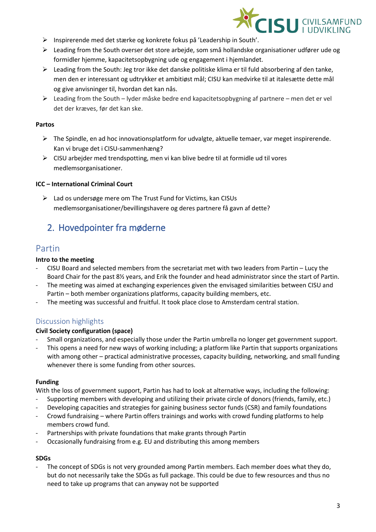

- ➢ Inspirerende med det stærke og konkrete fokus på 'Leadership in South'.
- $\triangleright$  Leading from the South overser det store arbejde, som små hollandske organisationer udfører ude og formidler hjemme, kapacitetsopbygning ude og engagement i hjemlandet.
- $\triangleright$  Leading from the South: Jeg tror ikke det danske politiske klima er til fuld absorbering af den tanke, men den er interessant og udtrykker et ambitiøst mål; CISU kan medvirke til at italesætte dette mål og give anvisninger til, hvordan det kan nås.
- $\triangleright$  Leading from the South lyder måske bedre end kapacitetsopbygning af partnere men det er vel det der kræves, før det kan ske.

### **Partos**

- $\triangleright$  The Spindle, en ad hoc innovationsplatform for udvalgte, aktuelle temaer, var meget inspirerende. Kan vi bruge det i CISU-sammenhæng?
- $\triangleright$  CISU arbejder med trendspotting, men vi kan blive bedre til at formidle ud til vores medlemsorganisationer.

### **ICC – International Criminal Court**

➢ Lad os undersøge mere om The Trust Fund for Victims, kan CISUs medlemsorganisationer/bevillingshavere og deres partnere få gavn af dette?

# 2. Hovedpointer fra møderne

# Partin

## **Intro to the meeting**

- CISU Board and selected members from the secretariat met with two leaders from Partin Lucy the Board Chair for the past 8½ years, and Erik the founder and head administrator since the start of Partin.
- The meeting was aimed at exchanging experiences given the envisaged similarities between CISU and Partin – both member organizations platforms, capacity building members, etc.
- The meeting was successful and fruitful. It took place close to Amsterdam central station.

# Discussion highlights

## **Civil Society configuration (space)**

- Small organizations, and especially those under the Partin umbrella no longer get government support.
- This opens a need for new ways of working including; a platform like Partin that supports organizations with among other – practical administrative processes, capacity building, networking, and small funding whenever there is some funding from other sources.

### **Funding**

With the loss of government support, Partin has had to look at alternative ways, including the following:

- Supporting members with developing and utilizing their private circle of donors (friends, family, etc.)
- Developing capacities and strategies for gaining business sector funds (CSR) and family foundations
- Crowd fundraising where Partin offers trainings and works with crowd funding platforms to help members crowd fund.
- Partnerships with private foundations that make grants through Partin
- Occasionally fundraising from e.g. EU and distributing this among members

### **SDGs**

The concept of SDGs is not very grounded among Partin members. Each member does what they do, but do not necessarily take the SDGs as full package. This could be due to few resources and thus no need to take up programs that can anyway not be supported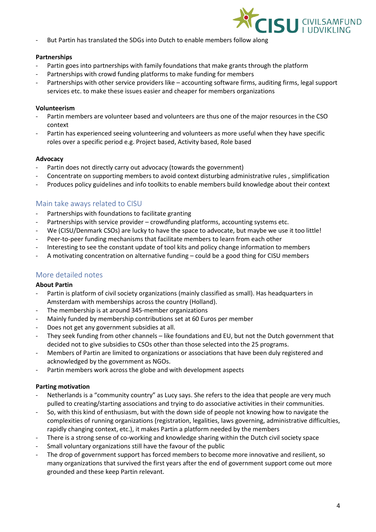

- But Partin has translated the SDGs into Dutch to enable members follow along

#### **Partnerships**

- Partin goes into partnerships with family foundations that make grants through the platform
- Partnerships with crowd funding platforms to make funding for members
- Partnerships with other service providers like accounting software firms, auditing firms, legal support services etc. to make these issues easier and cheaper for members organizations

### **Volunteerism**

- Partin members are volunteer based and volunteers are thus one of the major resources in the CSO context
- Partin has experienced seeing volunteering and volunteers as more useful when they have specific roles over a specific period e.g. Project based, Activity based, Role based

#### **Advocacy**

- Partin does not directly carry out advocacy (towards the government)
- Concentrate on supporting members to avoid context disturbing administrative rules, simplification
- Produces policy guidelines and info toolkits to enable members build knowledge about their context

## Main take aways related to CISU

- Partnerships with foundations to facilitate granting
- Partnerships with service provider crowdfunding platforms, accounting systems etc.
- We (CISU/Denmark CSOs) are lucky to have the space to advocate, but maybe we use it too little!
- Peer-to-peer funding mechanisms that facilitate members to learn from each other
- Interesting to see the constant update of tool kits and policy change information to members
- A motivating concentration on alternative funding could be a good thing for CISU members

## More detailed notes

### **About Partin**

- Partin is platform of civil society organizations (mainly classified as small). Has headquarters in Amsterdam with memberships across the country (Holland).
- The membership is at around 345-member organizations
- Mainly funded by membership contributions set at 60 Euros per member
- Does not get any government subsidies at all.
- They seek funding from other channels like foundations and EU, but not the Dutch government that decided not to give subsidies to CSOs other than those selected into the 25 programs.
- Members of Partin are limited to organizations or associations that have been duly registered and acknowledged by the government as NGOs.
- Partin members work across the globe and with development aspects

### **Parting motivation**

- Netherlands is a "community country" as Lucy says. She refers to the idea that people are very much pulled to creating/starting associations and trying to do associative activities in their communities.
- So, with this kind of enthusiasm, but with the down side of people not knowing how to navigate the complexities of running organizations (registration, legalities, laws governing, administrative difficulties, rapidly changing context, etc.), it makes Partin a platform needed by the members
- There is a strong sense of co-working and knowledge sharing within the Dutch civil society space
- Small voluntary organizations still have the favour of the public
- The drop of government support has forced members to become more innovative and resilient, so many organizations that survived the first years after the end of government support come out more grounded and these keep Partin relevant.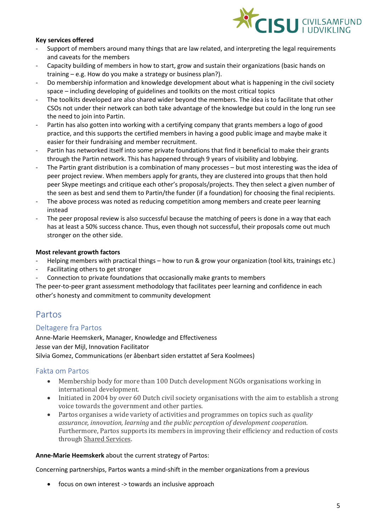

### **Key services offered**

- Support of members around many things that are law related, and interpreting the legal requirements and caveats for the members
- Capacity building of members in how to start, grow and sustain their organizations (basic hands on training – e.g. How do you make a strategy or business plan?).
- Do membership information and knowledge development about what is happening in the civil society space – including developing of guidelines and toolkits on the most critical topics
- The toolkits developed are also shared wider beyond the members. The idea is to facilitate that other CSOs not under their network can both take advantage of the knowledge but could in the long run see the need to join into Partin.
- Partin has also gotten into working with a certifying company that grants members a logo of good practice, and this supports the certified members in having a good public image and maybe make it easier for their fundraising and member recruitment.
- Partin has networked itself into some private foundations that find it beneficial to make their grants through the Partin network. This has happened through 9 years of visibility and lobbying.
- The Partin grant distribution is a combination of many processes but most interesting was the idea of peer project review. When members apply for grants, they are clustered into groups that then hold peer Skype meetings and critique each other's proposals/projects. They then select a given number of the seen as best and send them to Partin/the funder (if a foundation) for choosing the final recipients.
- The above process was noted as reducing competition among members and create peer learning instead
- The peer proposal review is also successful because the matching of peers is done in a way that each has at least a 50% success chance. Thus, even though not successful, their proposals come out much stronger on the other side.

### **Most relevant growth factors**

- Helping members with practical things how to run & grow your organization (tool kits, trainings etc.)
- Facilitating others to get stronger
- Connection to private foundations that occasionally make grants to members
- The peer-to-peer grant assessment methodology that facilitates peer learning and confidence in each other's honesty and commitment to community development

# Partos

## Deltagere fra Partos

Anne-Marie Heemskerk, Manager, Knowledge and Effectiveness Jesse van der Mijl, Innovation Facilitator Silvia Gomez, Communications (er åbenbart siden erstattet af Sera Koolmees)

## Fakta om Partos

- Membership body for more than 100 Dutch development NGOs organisations working in international development.
- Initiated in 2004 by over 60 Dutch civil society organisations with the aim to establish a strong voice towards the government and other parties.
- Partos organises a wide variety of activities and programmes on topics such as *quality assurance, innovation, learning* and *the public perception of development cooperation*. Furthermore, Partos supports its members in improving their efficiency and reduction of costs through [Shared Services.](https://www.partos.nl/en/leden/voordelen-lidmaatschap/shared-services/)

### **Anne-Marie Heemskerk** about the current strategy of Partos:

Concerning partnerships, Partos wants a mind-shift in the member organizations from a previous

• focus on own interest -> towards an inclusive approach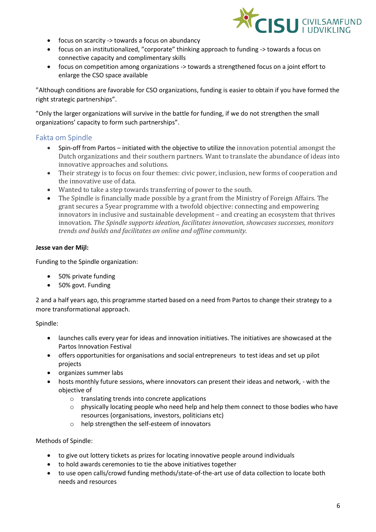

- focus on scarcity -> towards a focus on abundancy
- focus on an institutionalized, "corporate" thinking approach to funding -> towards a focus on connective capacity and complimentary skills
- focus on competition among organizations -> towards a strengthened focus on a joint effort to enlarge the CSO space available

"Although conditions are favorable for CSO organizations, funding is easier to obtain if you have formed the right strategic partnerships".

"Only the larger organizations will survive in the battle for funding, if we do not strengthen the small organizations' capacity to form such partnerships".

# Fakta om Spindle

- Spin-off from Partos initiated with the objective to utilize the innovation potential amongst the Dutch organizations and their southern partners. Want to translate the abundance of ideas into innovative approaches and solutions.
- Their strategy is to focus on four themes: civic power, inclusion, new forms of cooperation and the innovative use of data.
- Wanted to take a step towards transferring of power to the south.
- The Spindle is financially made possible by a grant from the Ministry of Foreign Affairs. The grant secures a 5year programme with a twofold objective: connecting and empowering innovators in inclusive and sustainable development – and creating an ecosystem that thrives innovation. *The Spindle supports ideation, facilitates innovation, showcases successes, monitors trends and builds and facilitates an online and offline community.*

### **Jesse van der Mijl:**

Funding to the Spindle organization:

- 50% private funding
- 50% govt. Funding

2 and a half years ago, this programme started based on a need from Partos to change their strategy to a more transformational approach.

### Spindle:

- launches calls every year for ideas and innovation initiatives. The initiatives are showcased at the Partos Innovation Festival
- offers opportunities for organisations and social entrepreneurs to test ideas and set up pilot projects
- organizes summer labs
- hosts monthly future sessions, where innovators can present their ideas and network, with the objective of
	- o translating trends into concrete applications
	- $\circ$  physically locating people who need help and help them connect to those bodies who have resources (organisations, investors, politicians etc)
	- o help strengthen the self-esteem of innovators

### Methods of Spindle:

- to give out lottery tickets as prizes for locating innovative people around individuals
- to hold awards ceremonies to tie the above initiatives together
- to use open calls/crowd funding methods/state-of-the-art use of data collection to locate both needs and resources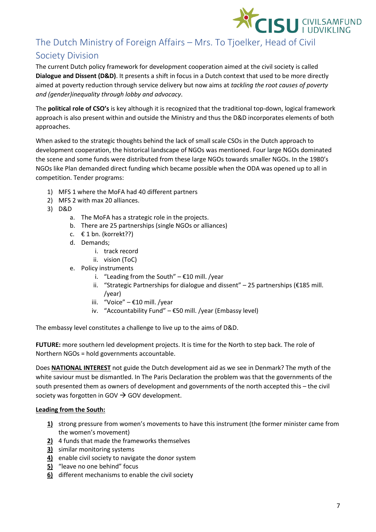

# The Dutch Ministry of Foreign Affairs – Mrs. To Tjoelker, Head of Civil Society Division

The current Dutch policy framework for development cooperation aimed at the civil society is called **Dialogue and Dissent (D&D)**. It presents a shift in focus in a Dutch context that used to be more directly aimed at poverty reduction through service delivery but now aims at *tackling the root causes of poverty and (gender)inequality through lobby and advocacy*.

The **political role of CSO's** is key although it is recognized that the traditional top-down, logical framework approach is also present within and outside the Ministry and thus the D&D incorporates elements of both approaches.

When asked to the strategic thoughts behind the lack of small scale CSOs in the Dutch approach to development cooperation, the historical landscape of NGOs was mentioned. Four large NGOs dominated the scene and some funds were distributed from these large NGOs towards smaller NGOs. In the 1980's NGOs like Plan demanded direct funding which became possible when the ODA was opened up to all in competition. Tender programs:

- 1) MFS 1 where the MoFA had 40 different partners
- 2) MFS 2 with max 20 alliances.
- 3) D&D
	- a. The MoFA has a strategic role in the projects.
	- b. There are 25 partnerships (single NGOs or alliances)
	- c.  $€ 1$  bn. (korrekt??)
	- d. Demands;
		- i. track record
		- ii. vision (ToC)
	- e. Policy instruments
		- i. "Leading from the South"  $E10$  mill. /year
		- ii. "Strategic Partnerships for dialogue and dissent" 25 partnerships (€185 mill. /year)
		- iii. "Voice" €10 mill. /year
		- iv. "Accountability Fund" €50 mill. /year (Embassy level)

The embassy level constitutes a challenge to live up to the aims of D&D.

**FUTURE:** more southern led development projects. It is time for the North to step back. The role of Northern NGOs = hold governments accountable.

Does **NATIONAL INTEREST** not guide the Dutch development aid as we see in Denmark? The myth of the white saviour must be dismantled. In The Paris Declaration the problem was that the governments of the south presented them as owners of development and governments of the north accepted this – the civil society was forgotten in GOV  $\rightarrow$  GOV development.

### **Leading from the South:**

- **1)** strong pressure from women's movements to have this instrument (the former minister came from the women's movement)
- **2)** 4 funds that made the frameworks themselves
- **3)** similar monitoring systems
- **4)** enable civil society to navigate the donor system
- **5)** "leave no one behind" focus
- **6)** different mechanisms to enable the civil society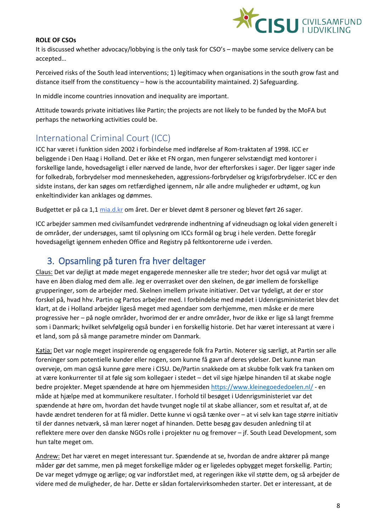

### **ROLE OF CSOs**

It is discussed whether advocacy/lobbying is the only task for CSO's – maybe some service delivery can be accepted…

Perceived risks of the South lead interventions; 1) legitimacy when organisations in the south grow fast and distance itself from the constituency – how is the accountability maintained. 2) Safeguarding.

In middle income countries innovation and inequality are important.

Attitude towards private initiatives like Partin; the projects are not likely to be funded by the MoFA but perhaps the networking activities could be.

# International Criminal Court (ICC)

ICC har været i funktion siden 2002 i forbindelse med indførelse af Rom-traktaten af 1998. ICC er beliggende i Den Haag i Holland. Det er ikke et FN organ, men fungerer selvstændigt med kontorer i forskellige lande, hovedsageligt i eller nærved de lande, hvor der efterforskes i sager. Der ligger sager inde for folkedrab, forbrydelser mod menneskeheden, aggressions-forbrydelser og krigsforbrydelser. ICC er den sidste instans, der kan søges om retfærdighed igennem, når alle andre muligheder er udtømt, og kun enkeltindivider kan anklages og dømmes.

Budgettet er på ca 1,1 [mia.d.kr](http://mia.d.kr/) om året. Der er blevet dømt 8 personer og blevet ført 26 sager.

ICC arbejder sammen med civilsamfundet vedrørende indhentning af vidneudsagn og lokal viden generelt i de områder, der undersøges, samt til oplysning om ICCs formål og brug i hele verden. Dette foregår hovedsageligt igennem enheden Office and Registry på feltkontorerne ude i verden.

# 3. Opsamling på turen fra hver deltager

Claus: Det var dejligt at møde meget engagerede mennesker alle tre steder; hvor det også var muligt at have en åben dialog med dem alle. Jeg er overrasket over den skelnen, de gør imellem de forskellige grupperinger, som de arbejder med. Skelnen imellem private initiativer. Det var tydeligt, at der er stor forskel på, hvad hhv. Partin og Partos arbejder med. I forbindelse med mødet i Udenrigsministeriet blev det klart, at de i Holland arbejder ligeså meget med agendaer som derhjemme, men måske er de mere progressive her – på nogle områder, hvorimod der er andre områder, hvor de ikke er lige så langt fremme som i Danmark; hvilket selvfølgelig også bunder i en forskellig historie. Det har været interessant at være i et land, som på så mange parametre minder om Danmark.

Katja: Det var nogle meget inspirerende og engagerede folk fra Partin. Noterer sig særligt, at Partin ser alle foreninger som potentielle kunder eller nogen, som kunne få gavn af deres ydelser. Det kunne man overveje, om man også kunne gøre mere i CISU. De/Partin snakkede om at skubbe folk væk fra tanken om at være konkurrenter til at føle sig som kollegaer i stedet – det vil sige hjælpe hinanden til at skabe nogle bedre projekter. Meget spændende at høre om hjemmesiden<https://www.kleinegoededoelen.nl/> - en måde at hjælpe med at kommunikere resultater. I forhold til besøget i Udenrigsministeriet var det spændende at høre om, hvordan det havde tvunget nogle til at skabe alliancer, som et resultat af, at de havde ændret tenderen for at få midler. Dette kunne vi også tænke over – at vi selv kan tage større initiativ til der dannes netværk, så man lærer noget af hinanden. Dette besøg gav desuden anledning til at reflektere mere over den danske NGOs rolle i projekter nu og fremover – jf. South Lead Development, som hun talte meget om.

Andrew: Det har været en meget interessant tur. Spændende at se, hvordan de andre aktører på mange måder gør det samme, men på meget forskellige måder og er ligeledes opbygget meget forskellig. Partin; De var meget ydmyge og ærlige; og var indforstået med, at regeringen ikke vil støtte dem, og så arbejder de videre med de muligheder, de har. Dette er sådan fortalervirksomheden starter. Det er interessant, at de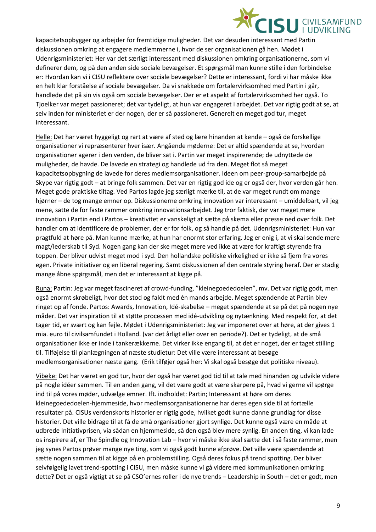

kapacitetsopbygger og arbejder for fremtidige muligheder. Det var desuden interessant med Partin diskussionen omkring at engagere medlemmerne i, hvor de ser organisationen gå hen. Mødet i Udenrigsministeriet: Her var det særligt interessant med diskussionen omkring organisationerne, som vi definerer dem, og på den anden side sociale bevægelser. Et spørgsmål man kunne stille i den forbindelse er: Hvordan kan vi i CISU reflektere over sociale bevægelser? Dette er interessant, fordi vi har måske ikke en helt klar forståelse af sociale bevægelser. Da vi snakkede om fortalervirksomhed med Partin i går, handlede det på sin vis også om sociale bevægelser. Der er et aspekt af fortalervirksomhed her også. To Tjoelker var meget passioneret; det var tydeligt, at hun var engageret i arbejdet. Det var rigtig godt at se, at selv inden for ministeriet er der nogen, der er så passioneret. Generelt en meget god tur, meget interessant.

Helle: Det har været hyggeligt og rart at være af sted og lære hinanden at kende – også de forskellige organisationer vi repræsenterer hver især. Angående møderne: Det er altid spændende at se, hvordan organisationer agerer i den verden, de bliver sat i. Partin var meget inspirerende; de udnyttede de muligheder, de havde. De lavede en strategi og handlede ud fra den. Meget flot så meget kapacitetsopbygning de lavede for deres medlemsorganisationer. Ideen om peer-group-samarbejde på Skype var rigtig godt – at bringe folk sammen. Det var en rigtig god ide og er også der, hvor verden går hen. Meget gode praktiske tiltag. Ved Partos lagde jeg særligt mærke til, at de var meget rundt om mange hjørner – de tog mange emner op. Diskussionerne omkring innovation var interessant – umiddelbart, vil jeg mene, satte de for faste rammer omkring innovationsarbejdet. Jeg tror faktisk, der var meget mere innovation i Partin end i Partos – kreativitet er vanskeligt at sætte på skema eller presse ned over folk. Det handler om at identificere de problemer, der er for folk, og så handle på det. Udenrigsministeriet: Hun var pragtfuld at høre på. Man kunne mærke, at hun har enormt stor erfaring. Jeg er enig i, at vi skal sende mere magt/lederskab til Syd. Nogen gang kan der ske meget mere ved ikke at være for kraftigt styrende fra toppen. Der bliver udvist meget mod i syd. Den hollandske politiske virkelighed er ikke så fjern fra vores egen. Private initiativer og en liberal regering. Samt diskussionen af den centrale styring heraf. Der er stadig mange åbne spørgsmål, men det er interessant at kigge på.

Runa: Partin: Jeg var meget fascineret af crowd-funding, "kleinegoededoelen", mv. Det var rigtig godt, men også enormt skrøbeligt, hvor det stod og faldt med én mands arbejde. Meget spændende at Partin blev ringet op af fonde. Partos: Awards, Innovation, Idé-skabelse – meget spændende at se på det på nogen nye måder. Det var inspiration til at støtte processen med idé-udvikling og nytænkning. Med respekt for, at det tager tid, er svært og kan fejle. Mødet i Udenrigsministeriet: Jeg var imponeret over at høre, at der gives 1 mia. euro til civilsamfundet i Holland. (var det årligt eller over en periode?). Det er tydeligt, at de små organisationer ikke er inde i tankerækkerne. Det virker ikke engang til, at det er noget, der er taget stilling til. Tilføjelse til planlægningen af næste studietur: Det ville være interessant at besøge medlemsorganisationer næste gang. (Erik tilføjer også her: Vi skal også besøge det politiske niveau).

Vibeke: Det har været en god tur, hvor der også har været god tid til at tale med hinanden og udvikle videre på nogle idéer sammen. Til en anden gang, vil det være godt at være skarpere på, hvad vi gerne vil spørge ind til på vores møder, udvælge emner. Ift. indholdet: Partin; Interessant at høre om deres kleinegoededoelen-hjemmeside, hvor medlemsorganisationerne har deres egen side til at fortælle resultater på. CISUs verdenskorts historier er rigtig gode, hvilket godt kunne danne grundlag for disse historier. Det ville bidrage til at få de små organisationer gjort synlige. Det kunne også være en måde at udbrede Initiativprisen, via sådan en hjemmeside, så den også blev mere synlig. En anden ting, vi kan lade os inspirere af, er The Spindle og Innovation Lab – hvor vi måske ikke skal sætte det i så faste rammer, men jeg synes Partos prøver mange nye ting, som vi også godt kunne afprøve. Det ville være spændende at sætte nogen sammen til at kigge på en problemstilling. Også deres fokus på trend spotting. Der bliver selvfølgelig lavet trend-spotting i CISU, men måske kunne vi gå videre med kommunikationen omkring dette? Det er også vigtigt at se på CSO'ernes roller i de nye trends – Leadership in South – det er godt, men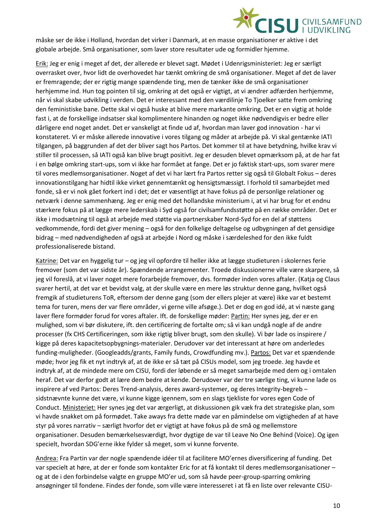

måske ser de ikke i Holland, hvordan det virker i Danmark, at en masse organisationer er aktive i det globale arbejde. Små organisationer, som laver store resultater ude og formidler hjemme.

Erik: Jeg er enig i meget af det, der allerede er blevet sagt. Mødet i Udenrigsministeriet: Jeg er særligt overrasket over, hvor lidt de overhovedet har tænkt omkring de små organisationer. Meget af det de laver er fremragende; der er rigtig mange spændende ting, men de tænker ikke de små organisationer herhjemme ind. Hun tog pointen til sig, omkring at det også er vigtigt, at vi ændrer adfærden herhjemme, når vi skal skabe udvikling i verden. Det er interessant med den værdilinje To Tjoelker satte frem omkring den feministiske bane. Dette skal vi også huske at blive mere markante omkring. Det er en vigtig at holde fast i, at de forskellige indsatser skal komplimentere hinanden og noget ikke nødvendigvis er bedre eller dårligere end noget andet. Det er vanskeligt at finde ud af, hvordan man laver god innovation - har vi konstateret. Vi er måske allerede innovative i vores tilgang og måder at arbejde på. Vi skal gentænke IATI tilgangen, på baggrunden af det der bliver sagt hos Partos. Det kommer til at have betydning, hvilke krav vi stiller til processen, så IATI også kan blive brugt positivt. Jeg er desuden blevet opmærksom på, at de har fat i en bølge omkring start-ups, som vi ikke har formået at fange. Det er jo faktisk start-ups, som svarer mere til vores medlemsorganisationer. Noget af det vi har lært fra Partos retter sig også til Globalt Fokus – deres innovationstilgang har hidtil ikke virket gennemtænkt og hensigtsmæssigt. I forhold til samarbejdet med fonde, så er vi nok gået forkert ind i det; det er væsentligt at have fokus på de personlige relationer og netværk i denne sammenhæng. Jeg er enig med det hollandske ministerium i, at vi har brug for et endnu stærkere fokus på at lægge mere lederskab i Syd også for civilsamfundsstøtte på en række områder. Det er ikke i modsætning til også at arbejde med støtte via partnerskaber Nord-Syd for en del af støttens vedkommende, fordi det giver mening – også for den folkelige deltagelse og udbygningen af det gensidige bidrag – med nødvendigheden af også at arbejde i Nord og måske i særdeleshed for den ikke fuldt professionaliserede bistand.

Katrine: Det var en hyggelig tur – og jeg vil opfordre til heller ikke at lægge studieturen i skolernes ferie fremover (som det var sidste år). Spændende arrangementer. Troede diskussionerne ville være skarpere, så jeg vil foreslå, at vi laver noget mere forarbejde fremover, dvs. formøder inden vores aftaler. (Katja og Claus svarer hertil, at det var et bevidst valg, at der skulle være en mere løs struktur denne gang, hvilket også fremgik af studieturens ToR, eftersom der denne gang (som der ellers plejer at være) ikke var et bestemt tema for turen, mens der var flere områder, vi gerne ville afsøge.). Det er dog en god idé, at vi næste gang laver flere formøder forud for vores aftaler. Ift. de forskellige møder: Partin: Her synes jeg, der er en mulighed, som vi bør diskutere, ift. den certificering de fortalte om; så vi kan undgå nogle af de andre processer (fx CHS Certificeringen, som ikke rigtig bliver brugt, som den skulle). Vi bør lade os inspirere / kigge på deres kapacitetsopbygnings-materialer. Derudover var det interessant at høre om anderledes funding-muligheder. (Googleadds/grants, Family funds, Crowdfunding mv.). Partos: Det var et spændende møde; hvor jeg fik et nyt indtryk af, at de ikke er så tæt på CISUs model, som jeg troede. Jeg havde et indtryk af, at de mindede mere om CISU, fordi der løbende er så meget samarbejde med dem og i omtalen heraf. Det var derfor godt at lære dem bedre at kende. Derudover var der tre særlige ting, vi kunne lade os inspirere af ved Partos: Deres Trend-analysis, deres award-systemer, og deres Integrity-begreb – sidstnævnte kunne det være, vi kunne kigge igennem, som en slags tjekliste for vores egen Code of Conduct. Ministeriet: Her synes jeg det var ærgerligt, at diskussionen gik væk fra det strategiske plan, som vi havde snakket om på formødet. Take aways fra dette møde var en påmindelse om vigtigheden af at have styr på vores narrativ – særligt hvorfor det er vigtigt at have fokus på de små og mellemstore organisationer. Desuden bemærkelsesværdigt, hvor dygtige de var til Leave No One Behind (Voice). Og igen specielt, hvordan SDG'erne ikke fylder så meget, som vi kunne forvente.

Andrea: Fra Partin var der nogle spændende idéer til at facilitere MO'ernes diversificering af funding. Det var specielt at høre, at der er fonde som kontakter Eric for at få kontakt til deres medlemsorganisationer – og at de i den forbindelse valgte en gruppe MO'er ud, som så havde peer-group-sparring omkring ansøgninger til fondene. Findes der fonde, som ville være interesseret i at få en liste over relevante CISU-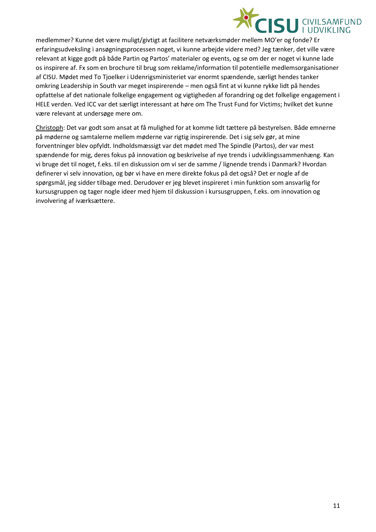

medlemmer? Kunne det være muligt/givtigt at facilitere netværksmøder mellem MO'er og fonde? Er erfaringsudveksling i ansøgningsprocessen noget, vi kunne arbejde videre med? Jeg tænker, det ville være relevant at kigge godt på både Partin og Partos' materialer og events, og se om der er noget vi kunne lade os inspirere af. Fx som en brochure til brug som reklame/information til potentielle medlemsorganisationer af CISU. Mødet med To Tjoelker i Udenrigsministeriet var enormt spændende, særligt hendes tanker omkring Leadership in South var meget inspirerende – men også fint at vi kunne rykke lidt på hendes opfattelse af det nationale folkelige engagement og vigtigheden af forandring og det folkelige engagement i HELE verden. Ved ICC var det særligt interessant at høre om The Trust Fund for Victims; hvilket det kunne være relevant at undersøge mere om.

Christoph: Det var godt som ansat at få mulighed for at komme lidt tættere på bestyrelsen. Både emnerne på møderne og samtalerne mellem møderne var rigtig inspirerende. Det i sig selv gør, at mine forventninger blev opfyldt. Indholdsmæssigt var det mødet med The Spindle (Partos), der var mest spændende for mig, deres fokus på innovation og beskrivelse af nye trends i udviklingssammenhæng. Kan vi bruge det til noget, f.eks. til en diskussion om vi ser de samme / lignende trends i Danmark? Hvordan definerer vi selv innovation, og bør vi have en mere direkte fokus på det også? Det er nogle af de spørgsmål, jeg sidder tilbage med. Derudover er jeg blevet inspireret i min funktion som ansvarlig for kursusgruppen og tager nogle ideer med hjem til diskussion i kursusgruppen, f.eks. om innovation og involvering af iværksættere.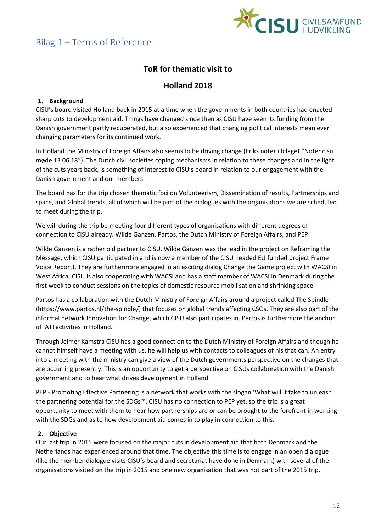

# **ToR for thematic visit to**

# **Holland 2018**

# **1. Background**

CISU's board visited Holland back in 2015 at a time when the governments in both countries had enacted sharp cuts to development aid. Things have changed since then as CISU have seen its funding from the Danish government partly recuperated, but also experienced that changing political interests mean ever changing parameters for its continued work.

In Holland the Ministry of Foreign Affairs also seems to be driving change (Eriks noter i bilaget "Noter cisu møde 13 06 18"). The Dutch civil societies coping mechanisms in relation to these changes and in the light of the cuts years back, is something of interest to CISU's board in relation to our engagement with the Danish government and our members.

The board has for the trip chosen thematic foci on Volunteerism, Dissemination of results, Partnerships and space, and Global trends, all of which will be part of the dialogues with the organisations we are scheduled to meet during the trip.

We will during the trip be meeting four different types of organisations with different degrees of connection to CISU already. Wilde Ganzen, Partos, the Dutch Ministry of Foreign Affairs, and PEP.

Wilde Ganzen is a rather old partner to CISU. Wilde Ganzen was the lead in the project on Reframing the Message, which CISU participated in and is now a member of the CISU headed EU funded project Frame Voice Report!. They are furthermore engaged in an exciting dialog Change the Game project with WACSI in West Africa. CISU is also cooperating with WACSI and has a staff member of WACSI in Denmark during the first week to conduct sessions on the topics of domestic resource mobilisation and shrinking space

Partos has a collaboration with the Dutch Ministry of Foreign Affairs around a project called The Spindle (https://www.partos.nl/the-spindle/) that focuses on global trends affecting CSOs. They are also part of the informal network Innovation for Change, which CISU also participates in. Partos is furthermore the anchor of IATI activities in Holland.

Through Jelmer Kamstra CISU has a good connection to the Dutch Ministry of Foreign Affairs and though he cannot himself have a meeting with us, he will help us with contacts to colleagues of his that can. An entry into a meeting with the ministry can give a view of the Dutch governments perspective on the changes that are occurring presently. This is an opportunity to get a perspective on CISUs collaboration with the Danish government and to hear what drives development in Holland.

PEP - Promoting Effective Partnering is a network that works with the slogan 'What will it take to unleash the partnering potential for the SDGs?'. CISU has no connection to PEP yet, so the trip is a great opportunity to meet with them to hear how partnerships are or can be brought to the forefront in working with the SDGs and as to how development aid comes in to play in connection to this.

## **2. Objective**

Our last trip in 2015 were focused on the major cuts in development aid that both Denmark and the Netherlands had experienced around that time. The objective this time is to engage in an open dialogue (like the member dialogue visits CISU's board and secretariat have done in Denmark) with several of the organisations visited on the trip in 2015 and one new organisation that was not part of the 2015 trip.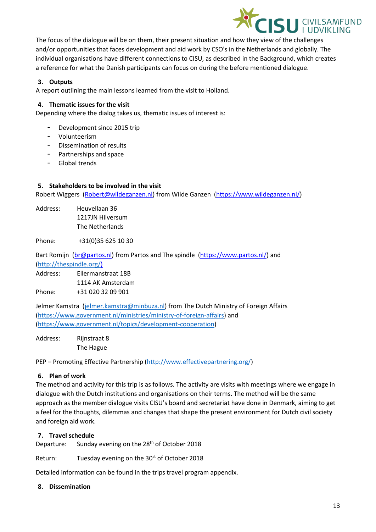

The focus of the dialogue will be on them, their present situation and how they view of the challenges and/or opportunities that faces development and aid work by CSO's in the Netherlands and globally. The individual organisations have different connections to CISU, as described in the Background, which creates a reference for what the Danish participants can focus on during the before mentioned dialogue.

# **3. Outputs**

A report outlining the main lessons learned from the visit to Holland.

### **4. Thematic issues for the visit**

Depending where the dialog takes us, thematic issues of interest is:

- Development since 2015 trip
- Volunteerism
- Dissemination of results
- Partnerships and space
- Global trends

### **5. Stakeholders to be involved in the visit**

Robert Wiggers [\(Robert@wildeganzen.nl\)](mailto:Robert@wildeganzen.nl) from Wilde Ganzen [\(https://www.wildeganzen.nl/\)](https://www.wildeganzen.nl/)

Address: Heuvellaan 36 1217JN Hilversum The Netherlands

Phone: +31(0)35 625 10 30

Bart Romijn [\(br@partos.nl\)](mailto:br@partos.nl) from Partos and The spindle [\(https://www.partos.nl/\)](https://www.partos.nl/) and [\(http://thespindle.org/\)](http://thespindle.org/)

Address: Ellermanstraat 18B 1114 AK Amsterdam Phone: +31 020 32 09 901

Jelmer Kamstra [\(jelmer.kamstra@minbuza.nl\)](mailto:jelmer.kamstra@minbuza.nl) from The Dutch Ministry of Foreign Affairs [\(https://www.government.nl/ministries/ministry-of-foreign-affairs\)](https://www.government.nl/ministries/ministry-of-foreign-affairs) and [\(https://www.government.nl/topics/development-cooperation\)](https://www.government.nl/topics/development-cooperation)

Address: Rijnstraat 8 The Hague

PEP – Promoting Effective Partnership [\(http://www.effectivepartnering.org/\)](http://www.effectivepartnering.org/)

### **6. Plan of work**

The method and activity for this trip is as follows. The activity are visits with meetings where we engage in dialogue with the Dutch institutions and organisations on their terms. The method will be the same approach as the member dialogue visits CISU's board and secretariat have done in Denmark, aiming to get a feel for the thoughts, dilemmas and changes that shape the present environment for Dutch civil society and foreign aid work.

### **7. Travel schedule**

Departure: Sunday evening on the 28<sup>th</sup> of October 2018

Return: Tuesday evening on the 30<sup>st</sup> of October 2018

Detailed information can be found in the trips travel program appendix.

### **8. Dissemination**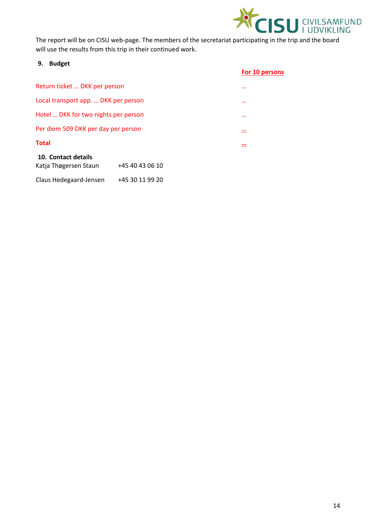

The report will be on CISU web-page. The members of the secretariat participating in the trip and the board will use the results from this trip in their continued work.

### **9. Budget**

|                                          | For 10 persons |
|------------------------------------------|----------------|
| Return ticket  DKK per person            |                |
| Local transport app.  DKK per person     |                |
| Hotel  DKK for two nights per person     |                |
| Per diem 509 DKK per day per person      | $\cdot$        |
| <b>Total</b>                             | $\cdot$        |
| 10. Contact details                      |                |
| +45 40 43 06 10<br>Katja Thøgersen Staun |                |

Claus Hedegaard-Jensen +45 30 11 99 20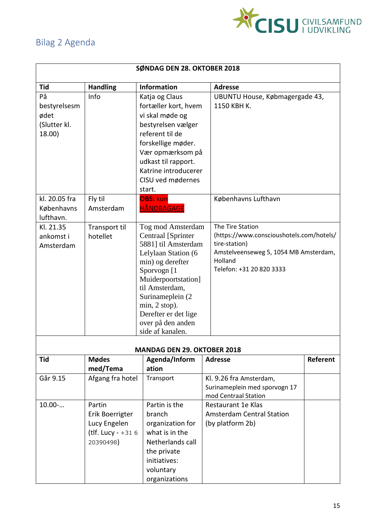

# Bilag 2 Agenda

| SØNDAG DEN 28. OKTOBER 2018                          |                                                                               |                                                                                                                                                                                                                                                                                   |                                                                                                                                                               |          |
|------------------------------------------------------|-------------------------------------------------------------------------------|-----------------------------------------------------------------------------------------------------------------------------------------------------------------------------------------------------------------------------------------------------------------------------------|---------------------------------------------------------------------------------------------------------------------------------------------------------------|----------|
| Tid                                                  | <b>Handling</b>                                                               | <b>Information</b>                                                                                                                                                                                                                                                                | <b>Adresse</b>                                                                                                                                                |          |
| På<br>bestyrelsesm<br>ødet<br>(Slutter kl.<br>18.00) | Info                                                                          | Katja og Claus<br>fortæller kort, hvem<br>vi skal møde og<br>bestyrelsen vælger<br>referent til de<br>forskellige møder.<br>Vær opmærksom på<br>udkast til rapport.<br>Katrine introducerer<br>CISU ved mødernes<br>start.                                                        | UBUNTU House, Købmagergade 43,<br>1150 KBH K.                                                                                                                 |          |
| kl. 20.05 fra<br>Københavns<br>lufthavn.             | Fly til<br>Amsterdam                                                          | <b>OBS: kun</b><br><b>HÅNDBAGAGE</b>                                                                                                                                                                                                                                              | Københavns Lufthavn                                                                                                                                           |          |
| Kl. 21.35<br>ankomst i<br>Amsterdam                  | Transport til<br>hotellet                                                     | Tog mod Amsterdam<br><b>Centraal</b> [Sprinter<br>5881] til Amsterdam<br>Lelylaan Station (6<br>min) og derefter<br>Sporvogn [1<br>Muiderpoortstation]<br>til Amsterdam,<br>Surinameplein (2)<br>$min, 2 stop$ .<br>Derefter er det lige<br>over på den anden<br>side af kanalen. | The Tire Station<br>(https://www.conscioushotels.com/hotels/<br>tire-station)<br>Amstelveenseweg 5, 1054 MB Amsterdam,<br>Holland<br>Telefon: +31 20 820 3333 |          |
| <b>Tid</b>                                           |                                                                               | <b>MANDAG DEN 29. OKTOBER 2018</b>                                                                                                                                                                                                                                                | <b>Adresse</b>                                                                                                                                                | Referent |
|                                                      | <b>Mødes</b><br>med/Tema                                                      | Agenda/Inform<br>ation                                                                                                                                                                                                                                                            |                                                                                                                                                               |          |
| Går 9.15                                             | Afgang fra hotel                                                              | Transport                                                                                                                                                                                                                                                                         | Kl. 9.26 fra Amsterdam,<br>Surinameplein med sporvogn 17<br>mod Centraal Station                                                                              |          |
| $10.00$ -                                            | Partin<br>Erik Boerrigter<br>Lucy Engelen<br>(tlf. Lucy - $+316$<br>20390498) | Partin is the<br>branch<br>organization for<br>what is in the<br>Netherlands call<br>the private<br>initiatives:<br>voluntary<br>organizations                                                                                                                                    | Restaurant 1e Klas<br><b>Amsterdam Central Station</b><br>(by platform 2b)                                                                                    |          |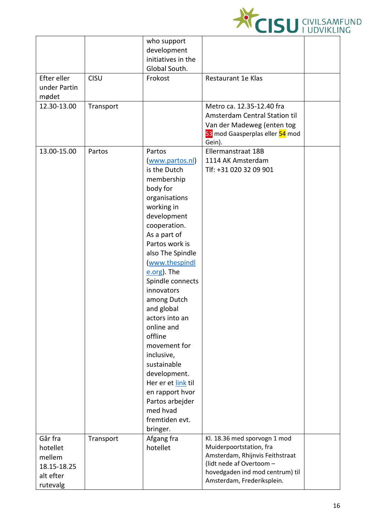

| who support                                                                    |  |
|--------------------------------------------------------------------------------|--|
| development                                                                    |  |
| initiatives in the                                                             |  |
| Global South.                                                                  |  |
| Efter eller<br>CISU<br>Frokost<br>Restaurant 1e Klas                           |  |
| under Partin                                                                   |  |
| mødet                                                                          |  |
| 12.30-13.00<br>Metro ca. 12.35-12.40 fra<br>Transport                          |  |
| Amsterdam Central Station til                                                  |  |
| Van der Madeweg (enten tog                                                     |  |
| 53 mod Gaasperplas eller 54 mod                                                |  |
| Gein).                                                                         |  |
| 13.00-15.00<br>Partos<br>Ellermanstraat 18B<br>Partos                          |  |
| 1114 AK Amsterdam<br>www.partos.nl)<br>is the Dutch                            |  |
| Tlf: +31 020 32 09 901                                                         |  |
| membership<br>body for                                                         |  |
| organisations                                                                  |  |
| working in                                                                     |  |
| development                                                                    |  |
| cooperation.                                                                   |  |
| As a part of                                                                   |  |
| Partos work is                                                                 |  |
| also The Spindle                                                               |  |
| (www.thespindl                                                                 |  |
| e.org). The                                                                    |  |
| Spindle connects                                                               |  |
| innovators                                                                     |  |
| among Dutch                                                                    |  |
| and global                                                                     |  |
| actors into an                                                                 |  |
| online and                                                                     |  |
| offline                                                                        |  |
| movement for                                                                   |  |
| inclusive,                                                                     |  |
| sustainable                                                                    |  |
| development.                                                                   |  |
| Her er et link til                                                             |  |
| en rapport hvor                                                                |  |
| Partos arbejder                                                                |  |
| med hvad                                                                       |  |
| fremtiden evt.                                                                 |  |
| bringer.<br>Går fra<br>Afgang fra<br>Kl. 18.36 med sporvogn 1 mod<br>Transport |  |
| Muiderpoortstation, fra<br>hotellet<br>hotellet                                |  |
| Amsterdam, Rhijnvis Feithstraat<br>mellem                                      |  |
| (lidt nede af Overtoom -<br>18.15-18.25                                        |  |
| hovedgaden ind mod centrum) til<br>alt efter                                   |  |
| Amsterdam, Frederiksplein.                                                     |  |